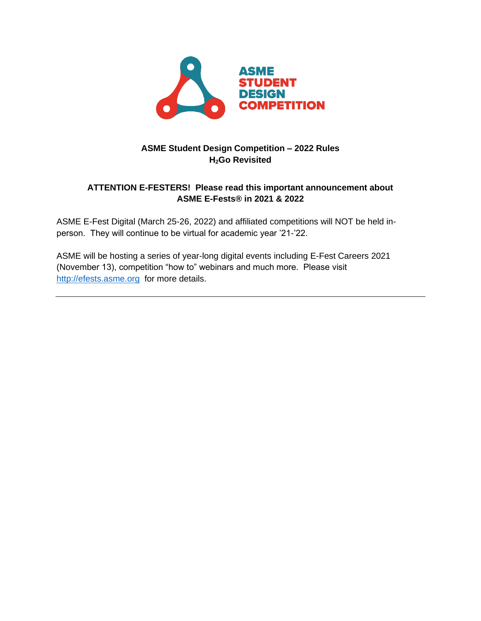

# **ASME Student Design Competition – 2022 Rules H2Go Revisited**

# **ATTENTION E-FESTERS! Please read this important announcement about ASME E-Fests® in 2021 & 2022**

ASME E-Fest Digital (March 25-26, 2022) and affiliated competitions will NOT be held inperson. They will continue to be virtual for academic year '21-'22.

ASME will be hosting a series of year-long digital events including E-Fest Careers 2021 (November 13), competition "how to" webinars and much more. Please visit [http://efests.asme.org](http://efests.asme.org/) for more details.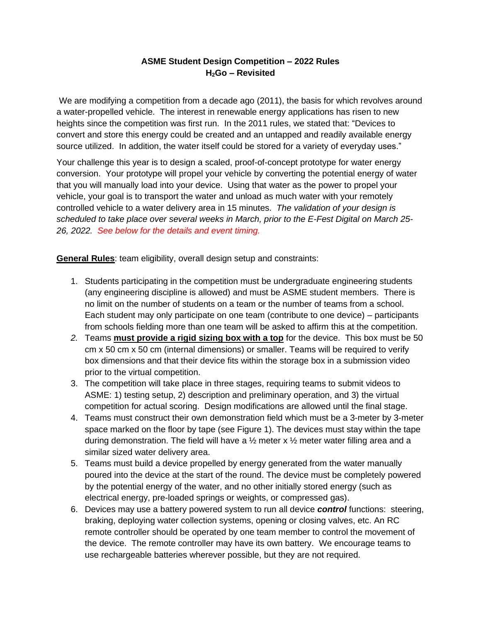## **ASME Student Design Competition – 2022 Rules H2Go – Revisited**

We are modifying a competition from a decade ago (2011), the basis for which revolves around a water-propelled vehicle. The interest in renewable energy applications has risen to new heights since the competition was first run. In the 2011 rules, we stated that: "Devices to convert and store this energy could be created and an untapped and readily available energy source utilized. In addition, the water itself could be stored for a variety of everyday uses."

Your challenge this year is to design a scaled, proof-of-concept prototype for water energy conversion. Your prototype will propel your vehicle by converting the potential energy of water that you will manually load into your device. Using that water as the power to propel your vehicle, your goal is to transport the water and unload as much water with your remotely controlled vehicle to a water delivery area in 15 minutes. *The validation of your design is scheduled to take place over several weeks in March, prior to the E-Fest Digital on March 25- 26, 2022. See below for the details and event timing.*

**General Rules**: team eligibility, overall design setup and constraints:

- 1. Students participating in the competition must be undergraduate engineering students (any engineering discipline is allowed) and must be ASME student members. There is no limit on the number of students on a team or the number of teams from a school. Each student may only participate on one team (contribute to one device) – participants from schools fielding more than one team will be asked to affirm this at the competition.
- *2.* Teams **must provide a rigid sizing box with a top** for the device. This box must be 50 cm x 50 cm x 50 cm (internal dimensions) or smaller. Teams will be required to verify box dimensions and that their device fits within the storage box in a submission video prior to the virtual competition.
- 3. The competition will take place in three stages, requiring teams to submit videos to ASME: 1) testing setup, 2) description and preliminary operation, and 3) the virtual competition for actual scoring. Design modifications are allowed until the final stage.
- 4. Teams must construct their own demonstration field which must be a 3-meter by 3-meter space marked on the floor by tape (see Figure 1). The devices must stay within the tape during demonstration. The field will have a  $\frac{1}{2}$  meter x  $\frac{1}{2}$  meter water filling area and a similar sized water delivery area.
- 5. Teams must build a device propelled by energy generated from the water manually poured into the device at the start of the round. The device must be completely powered by the potential energy of the water, and no other initially stored energy (such as electrical energy, pre-loaded springs or weights, or compressed gas).
- 6. Devices may use a battery powered system to run all device *control* functions: steering, braking, deploying water collection systems, opening or closing valves, etc. An RC remote controller should be operated by one team member to control the movement of the device. The remote controller may have its own battery. We encourage teams to use rechargeable batteries wherever possible, but they are not required.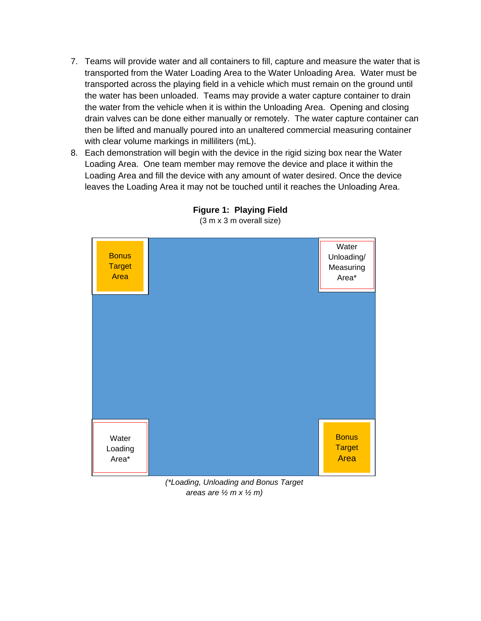- 7. Teams will provide water and all containers to fill, capture and measure the water that is transported from the Water Loading Area to the Water Unloading Area. Water must be transported across the playing field in a vehicle which must remain on the ground until the water has been unloaded. Teams may provide a water capture container to drain the water from the vehicle when it is within the Unloading Area. Opening and closing drain valves can be done either manually or remotely. The water capture container can then be lifted and manually poured into an unaltered commercial measuring container with clear volume markings in milliliters (mL).
- 8. Each demonstration will begin with the device in the rigid sizing box near the Water Loading Area. One team member may remove the device and place it within the Loading Area and fill the device with any amount of water desired. Once the device leaves the Loading Area it may not be touched until it reaches the Unloading Area.



**Figure 1: Playing Field** (3 m x 3 m overall size)

*(\*Loading, Unloading and Bonus Target areas are ½ m x ½ m)*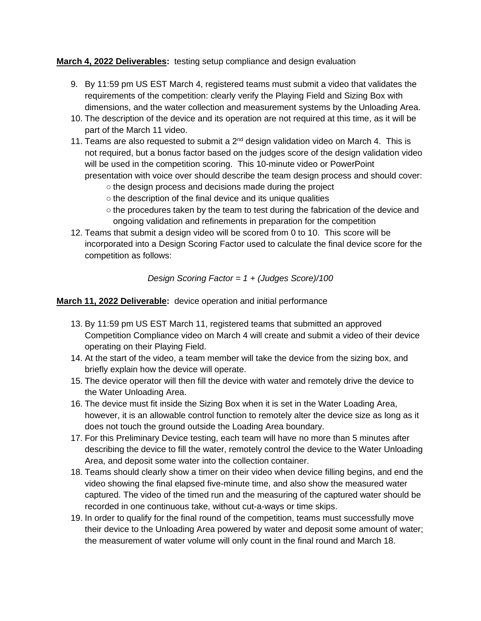**March 4, 2022 Deliverables:** testing setup compliance and design evaluation

- 9. By 11:59 pm US EST March 4, registered teams must submit a video that validates the requirements of the competition: clearly verify the Playing Field and Sizing Box with dimensions, and the water collection and measurement systems by the Unloading Area.
- 10. The description of the device and its operation are not required at this time, as it will be part of the March 11 video.
- 11. Teams are also requested to submit a  $2<sup>nd</sup>$  design validation video on March 4. This is not required, but a bonus factor based on the judges score of the design validation video will be used in the competition scoring. This 10-minute video or PowerPoint presentation with voice over should describe the team design process and should cover:
	- o the design process and decisions made during the project
	- the description of the final device and its unique qualities
	- $\circ$  the procedures taken by the team to test during the fabrication of the device and ongoing validation and refinements in preparation for the competition
- 12. Teams that submit a design video will be scored from 0 to 10. This score will be incorporated into a Design Scoring Factor used to calculate the final device score for the competition as follows:

### *Design Scoring Factor = 1 + (Judges Score)/100*

**March 11, 2022 Deliverable:** device operation and initial performance

- 13. By 11:59 pm US EST March 11, registered teams that submitted an approved Competition Compliance video on March 4 will create and submit a video of their device operating on their Playing Field.
- 14. At the start of the video, a team member will take the device from the sizing box, and briefly explain how the device will operate.
- 15. The device operator will then fill the device with water and remotely drive the device to the Water Unloading Area.
- 16. The device must fit inside the Sizing Box when it is set in the Water Loading Area, however, it is an allowable control function to remotely alter the device size as long as it does not touch the ground outside the Loading Area boundary.
- 17. For this Preliminary Device testing, each team will have no more than 5 minutes after describing the device to fill the water, remotely control the device to the Water Unloading Area, and deposit some water into the collection container.
- 18. Teams should clearly show a timer on their video when device filling begins, and end the video showing the final elapsed five-minute time, and also show the measured water captured. The video of the timed run and the measuring of the captured water should be recorded in one continuous take, without cut-a-ways or time skips.
- 19. In order to qualify for the final round of the competition, teams must successfully move their device to the Unloading Area powered by water and deposit some amount of water; the measurement of water volume will only count in the final round and March 18.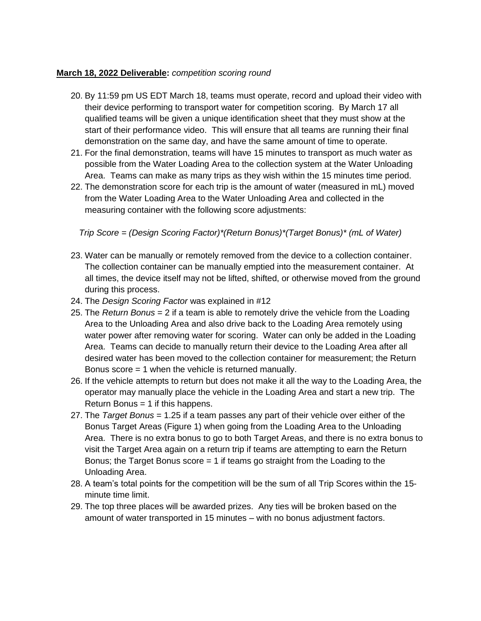#### **March 18, 2022 Deliverable:** *competition scoring round*

- 20. By 11:59 pm US EDT March 18, teams must operate, record and upload their video with their device performing to transport water for competition scoring. By March 17 all qualified teams will be given a unique identification sheet that they must show at the start of their performance video. This will ensure that all teams are running their final demonstration on the same day, and have the same amount of time to operate.
- 21. For the final demonstration, teams will have 15 minutes to transport as much water as possible from the Water Loading Area to the collection system at the Water Unloading Area. Teams can make as many trips as they wish within the 15 minutes time period.
- 22. The demonstration score for each trip is the amount of water (measured in mL) moved from the Water Loading Area to the Water Unloading Area and collected in the measuring container with the following score adjustments:

*Trip Score = (Design Scoring Factor)\*(Return Bonus)\*(Target Bonus)\* (mL of Water)*

- 23. Water can be manually or remotely removed from the device to a collection container. The collection container can be manually emptied into the measurement container. At all times, the device itself may not be lifted, shifted, or otherwise moved from the ground during this process.
- 24. The *Design Scoring Factor* was explained in #12
- 25. The *Return Bonus* = 2 if a team is able to remotely drive the vehicle from the Loading Area to the Unloading Area and also drive back to the Loading Area remotely using water power after removing water for scoring. Water can only be added in the Loading Area. Teams can decide to manually return their device to the Loading Area after all desired water has been moved to the collection container for measurement; the Return Bonus score = 1 when the vehicle is returned manually.
- 26. If the vehicle attempts to return but does not make it all the way to the Loading Area, the operator may manually place the vehicle in the Loading Area and start a new trip. The Return Bonus = 1 if this happens.
- 27. The *Target Bonus* = 1.25 if a team passes any part of their vehicle over either of the Bonus Target Areas (Figure 1) when going from the Loading Area to the Unloading Area. There is no extra bonus to go to both Target Areas, and there is no extra bonus to visit the Target Area again on a return trip if teams are attempting to earn the Return Bonus; the Target Bonus score  $= 1$  if teams go straight from the Loading to the Unloading Area.
- 28. A team's total points for the competition will be the sum of all Trip Scores within the 15 minute time limit.
- 29. The top three places will be awarded prizes. Any ties will be broken based on the amount of water transported in 15 minutes – with no bonus adjustment factors.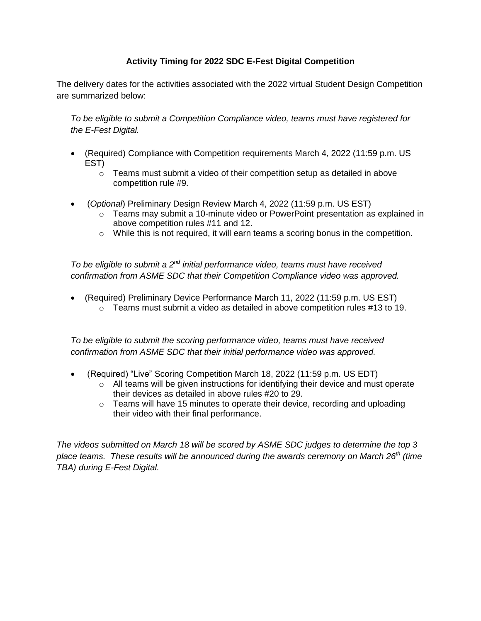## **Activity Timing for 2022 SDC E-Fest Digital Competition**

The delivery dates for the activities associated with the 2022 virtual Student Design Competition are summarized below:

*To be eligible to submit a Competition Compliance video, teams must have registered for the E-Fest Digital.*

- (Required) Compliance with Competition requirements March 4, 2022 (11:59 p.m. US EST)
	- $\circ$  Teams must submit a video of their competition setup as detailed in above competition rule #9.
- (*Optional*) Preliminary Design Review March 4, 2022 (11:59 p.m. US EST)
	- $\circ$  Teams may submit a 10-minute video or PowerPoint presentation as explained in above competition rules #11 and 12.
	- o While this is not required, it will earn teams a scoring bonus in the competition.

*To be eligible to submit a 2nd initial performance video, teams must have received confirmation from ASME SDC that their Competition Compliance video was approved.*

• (Required) Preliminary Device Performance March 11, 2022 (11:59 p.m. US EST)  $\circ$  Teams must submit a video as detailed in above competition rules #13 to 19.

*To be eligible to submit the scoring performance video, teams must have received confirmation from ASME SDC that their initial performance video was approved.*

- (Required) "Live" Scoring Competition March 18, 2022 (11:59 p.m. US EDT)
	- o All teams will be given instructions for identifying their device and must operate their devices as detailed in above rules #20 to 29.
	- $\circ$  Teams will have 15 minutes to operate their device, recording and uploading their video with their final performance.

*The videos submitted on March 18 will be scored by ASME SDC judges to determine the top 3 place teams. These results will be announced during the awards ceremony on March 26th (time TBA) during E-Fest Digital.*